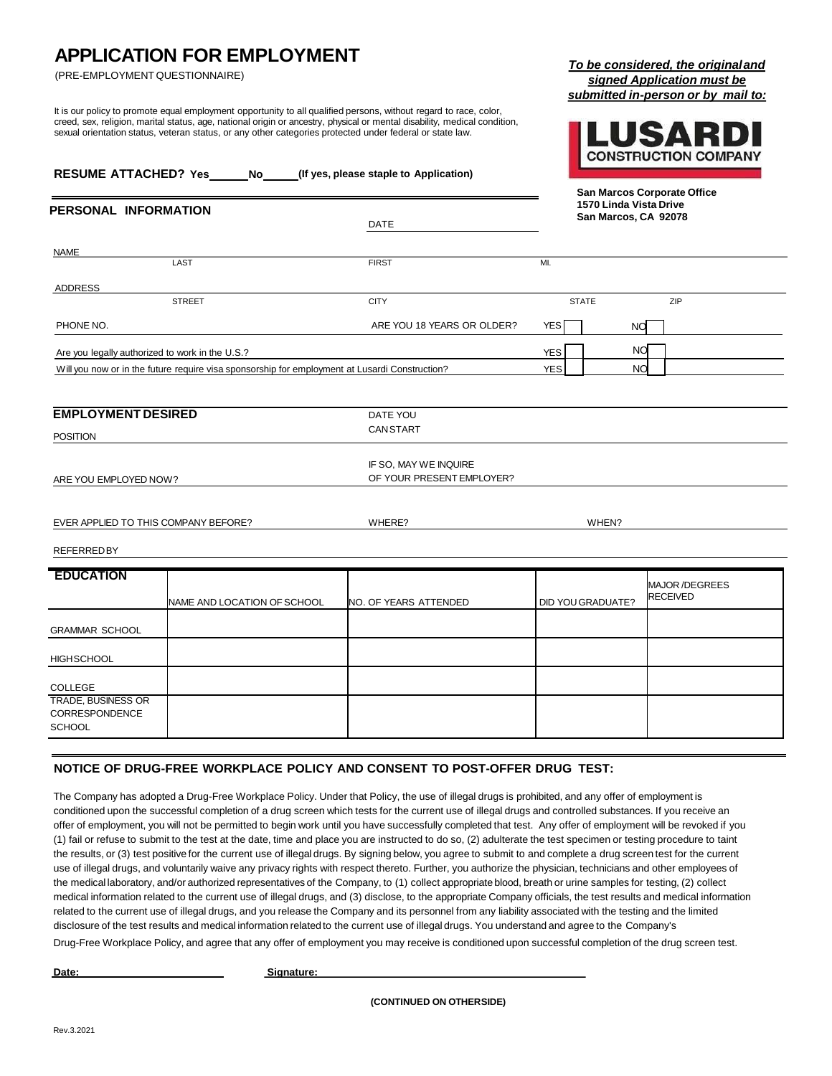## **APPLICATION FOR EMPLOYMENT**

(PRE-EMPLOYMENT QUESTIONNAIRE)

It is our policy to promote equal employment opportunity to all qualified persons, without regard to race, color, creed, sex, religion, marital status, age, national origin or ancestry, physical or mental disability, medical condition, sexual orientation status, veteran status, or any other categories protected under federal or state law.

| signed Application must be         |  |
|------------------------------------|--|
| submitted in-person or by mail to: |  |



*To be considered, the originaland* 

| <b>RESUME ATTACHED? Yes</b><br>(If yes, please staple to Application)<br>No |                                                                                                |                                                    |                                                                               |                   |                                  |
|-----------------------------------------------------------------------------|------------------------------------------------------------------------------------------------|----------------------------------------------------|-------------------------------------------------------------------------------|-------------------|----------------------------------|
| PERSONAL INFORMATION<br><b>DATE</b>                                         |                                                                                                |                                                    | San Marcos Corporate Office<br>1570 Linda Vista Drive<br>San Marcos, CA 92078 |                   |                                  |
| <b>NAME</b>                                                                 |                                                                                                |                                                    |                                                                               |                   |                                  |
|                                                                             | LAST                                                                                           | <b>FIRST</b>                                       | MI.                                                                           |                   |                                  |
| ADDRESS                                                                     |                                                                                                |                                                    |                                                                               |                   |                                  |
|                                                                             | <b>STREET</b>                                                                                  | <b>CITY</b>                                        |                                                                               | <b>STATE</b>      | ZIP                              |
| PHONE NO.                                                                   |                                                                                                | ARE YOU 18 YEARS OR OLDER?                         | <b>YES</b>                                                                    | NO                |                                  |
| Are you legally authorized to work in the U.S.?                             |                                                                                                |                                                    | <b>YES</b>                                                                    | <b>NO</b>         |                                  |
|                                                                             | Will you now or in the future require visa sponsorship for employment at Lusardi Construction? |                                                    | <b>YES</b>                                                                    | <b>NO</b>         |                                  |
|                                                                             |                                                                                                |                                                    |                                                                               |                   |                                  |
| <b>EMPLOYMENT DESIRED</b>                                                   |                                                                                                | DATE YOU                                           |                                                                               |                   |                                  |
| <b>POSITION</b>                                                             |                                                                                                | <b>CANSTART</b>                                    |                                                                               |                   |                                  |
| ARE YOU EMPLOYED NOW?                                                       |                                                                                                | IF SO, MAY WE INQUIRE<br>OF YOUR PRESENT EMPLOYER? |                                                                               |                   |                                  |
|                                                                             |                                                                                                |                                                    |                                                                               |                   |                                  |
| EVER APPLIED TO THIS COMPANY BEFORE?                                        |                                                                                                | WHERE?                                             | WHEN?                                                                         |                   |                                  |
| <b>REFERREDBY</b>                                                           |                                                                                                |                                                    |                                                                               |                   |                                  |
|                                                                             |                                                                                                |                                                    |                                                                               |                   |                                  |
| <b>EDUCATION</b>                                                            | NAME AND LOCATION OF SCHOOL                                                                    | NO. OF YEARS ATTENDED                              |                                                                               | DID YOU GRADUATE? | MAJOR/DEGREES<br><b>RECEIVED</b> |
| <b>GRAMMAR SCHOOL</b>                                                       |                                                                                                |                                                    |                                                                               |                   |                                  |
| <b>HIGH SCHOOL</b>                                                          |                                                                                                |                                                    |                                                                               |                   |                                  |
| <b>COLLEGE</b>                                                              |                                                                                                |                                                    |                                                                               |                   |                                  |
| <b>TRADE, BUSINESS OR</b><br>CORRESPONDENCE<br><b>SCHOOL</b>                |                                                                                                |                                                    |                                                                               |                   |                                  |

## **NOTICE OF DRUG-FREE WORKPLACE POLICY AND CONSENT TO POST-OFFER DRUG TEST:**

The Company has adopted a Drug-Free Workplace Policy. Under that Policy, the use of illegal drugs is prohibited, and any offer of employment is conditioned upon the successful completion of a drug screen which tests for the current use of illegal drugs and controlled substances. If you receive an offer of employment, you will not be permitted to begin work until you have successfully completed that test. Any offer of employment will be revoked if you (1) fail or refuse to submit to the test at the date, time and place you are instructed to do so, (2) adulterate the test specimen or testing procedure to taint the results, or (3) test positive for the current use of illegal drugs. By signing below, you agree to submit to and complete a drug screen test for the current use of illegal drugs, and voluntarily waive any privacy rights with respect thereto. Further, you authorize the physician, technicians and other employees of the medical laboratory, and/or authorized representatives of the Company, to (1) collect appropriate blood, breath or urine samples for testing, (2) collect medical information related to the current use of illegal drugs, and (3) disclose, to the appropriate Company officials, the test results and medical information related to the current use of illegal drugs, and you release the Company and its personnel from any liability associated with the testing and the limited disclosure of the test results and medical information related to the current use of illegal drugs. You understand and agree to the Company's

Drug-Free Workplace Policy, and agree that any offer of employment you may receive is conditioned upon successful completion of the drug screen test.

**Date: Signature:**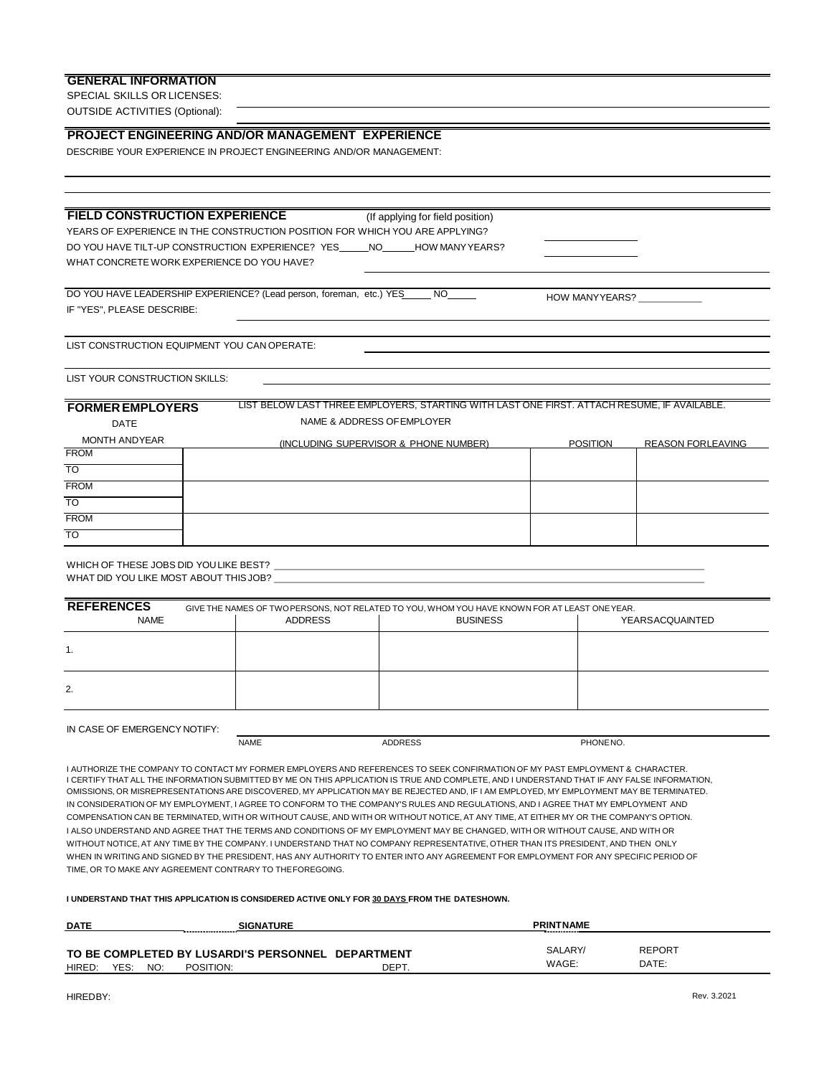### **GENERAL INFORMATION**

SPECIAL SKILLS OR LICENSES: OUTSIDE ACTIVITIES (Optional):

### **PROJECT ENGINEERING AND/OR MANAGEMENT EXPERIENCE**

DESCRIBE YOUR EXPERIENCE IN PROJECT ENGINEERING AND/OR MANAGEMENT:

# **FIELD CONSTRUCTION EXPERIENCE** (If applying for field position)

YEARS OF EXPERIENCE IN THE CONSTRUCTION POSITION FOR WHICH YOU ARE APPLYING? DO YOU HAVE TILT-UP CONSTRUCTION EXPERIENCE? YES\_\_\_\_\_NO\_\_\_\_\_HOW MANYYEARS? WHAT CONCRETE WORK EXPERIENCE DO YOU HAVE?

DO YOU HAVE LEADERSHIP EXPERIENCE? (Lead person, foreman, etc.) YES NO NO NOW MANYYEARS? IF "YES", PLEASE DESCRIBE:

LIST CONSTRUCTION EQUIPMENT YOU CAN OPERATE:

LIST YOUR CONSTRUCTION SKILLS:

#### **FORMEREMPLOYERS** DATE

LIST BELOW LAST THREE EMPLOYERS, STARTING WITH LAST ONE FIRST. ATTACH RESUME, IF AVAILABLE. NAME & ADDRESS OF FMPLOYER

| MONTH ANDYEAR | (INCLUDING SUPERVISOR & PHONE NUMBER) | <b>POSITION</b> | <b>REASON FORLEAVING</b> |
|---------------|---------------------------------------|-----------------|--------------------------|
| <b>FROM</b>   |                                       |                 |                          |
| <b>TO</b>     |                                       |                 |                          |
| <b>FROM</b>   |                                       |                 |                          |
| <b>TO</b>     |                                       |                 |                          |
| <b>FROM</b>   |                                       |                 |                          |
| <b>TO</b>     |                                       |                 |                          |

WHICH OF THESE JOBS DID YOULIKE BEST? WHAT DID YOU LIKE MOST ABOUT THISJOB?

| <b>REFERENCES</b><br><b>NAME</b> | <b>ADDRESS</b> | GIVE THE NAMES OF TWO PERSONS, NOT RELATED TO YOU, WHOM YOU HAVE KNOWN FOR AT LEAST ONE YEAR.<br><b>BUSINESS</b> | YEARSACQUAINTED |
|----------------------------------|----------------|------------------------------------------------------------------------------------------------------------------|-----------------|
|                                  |                |                                                                                                                  |                 |
| 2.                               |                |                                                                                                                  |                 |
|                                  |                |                                                                                                                  |                 |

#### IN CASE OF EMERGENCY NOTIFY:

NAME ADDRESS PHONENO.

I AUTHORIZE THE COMPANY TO CONTACT MY FORMER EMPLOYERS AND REFERENCES TO SEEK CONFIRMATION OF MY PAST EMPLOYMENT & CHARACTER. I CERTIFY THAT ALL THE INFORMATION SUBMITTED BY ME ON THIS APPLICATION IS TRUE AND COMPLETE, AND I UNDERSTAND THAT IF ANY FALSE INFORMATION, OMISSIONS, OR MISREPRESENTATIONS ARE DISCOVERED, MY APPLICATION MAY BE REJECTED AND, IF I AM EMPLOYED, MY EMPLOYMENT MAY BE TERMINATED. IN CONSIDERATION OF MY EMPLOYMENT, I AGREE TO CONFORM TO THE COMPANY'S RULES AND REGULATIONS, AND I AGREE THAT MY EMPLOYMENT AND COMPENSATION CAN BE TERMINATED, WITH OR WITHOUT CAUSE, AND WITH OR WITHOUT NOTICE, AT ANY TIME, AT EITHER MY OR THE COMPANY'S OPTION. I ALSO UNDERSTAND AND AGREE THAT THE TERMS AND CONDITIONS OF MY EMPLOYMENT MAY BE CHANGED, WITH OR WITHOUT CAUSE, AND WITH OR WITHOUT NOTICE, AT ANY TIME BY THE COMPANY. I UNDERSTAND THAT NO COMPANY REPRESENTATIVE, OTHER THAN ITS PRESIDENT, AND THEN ONLY WHEN IN WRITING AND SIGNED BY THE PRESIDENT, HAS ANY AUTHORITY TO ENTER INTO ANY AGREEMENT FOR EMPLOYMENT FOR ANY SPECIFIC PERIOD OF TIME, OR TO MAKE ANY AGREEMENT CONTRARY TO THEFOREGOING.

### **I UNDERSTAND THAT THIS APPLICATION IS CONSIDERED ACTIVE ONLY FOR 30 DAYS FROM THE DATESHOWN.**

| <b>DATE</b> |      |     |           | <b>SIGNATURE</b>                                  |       | <b>PRINTNAME</b><br>------------- |               |
|-------------|------|-----|-----------|---------------------------------------------------|-------|-----------------------------------|---------------|
|             |      |     |           | TO BE COMPLETED BY LUSARDI'S PERSONNEL DEPARTMENT |       | SALARY/                           | <b>REPORT</b> |
| HIRED:      | YES: | NO: | POSITION: |                                                   | DEPT. | WAGE:                             | DATE:         |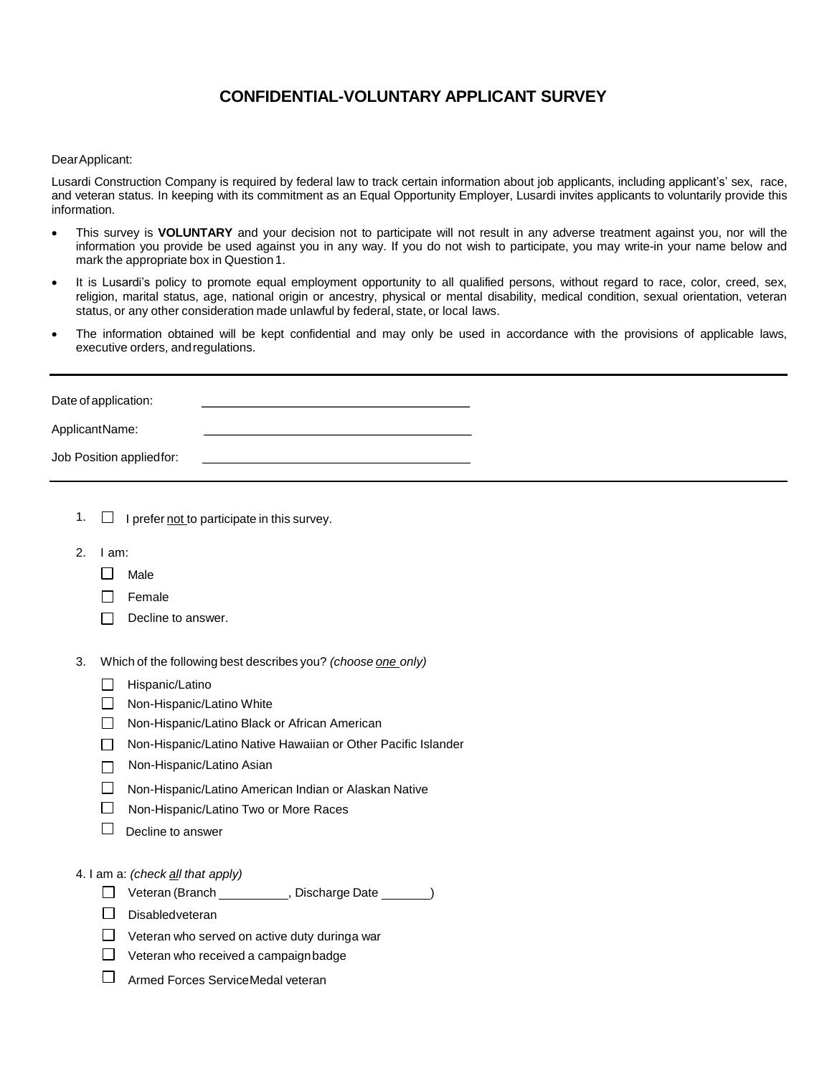## **CONFIDENTIAL-VOLUNTARY APPLICANT SURVEY**

### DearApplicant:

Lusardi Construction Company is required by federal law to track certain information about job applicants, including applicant's' sex, race, and veteran status. In keeping with its commitment as an Equal Opportunity Employer, Lusardi invites applicants to voluntarily provide this information.

- This survey is **VOLUNTARY** and your decision not to participate will not result in any adverse treatment against you, nor will the information you provide be used against you in any way. If you do not wish to participate, you may write-in your name below and mark the appropriate box in Question 1.
- It is Lusardi's policy to promote equal employment opportunity to all qualified persons, without regard to race, color, creed, sex, religion, marital status, age, national origin or ancestry, physical or mental disability, medical condition, sexual orientation, veteran status, or any other consideration made unlawful by federal, state, or local laws.
- The information obtained will be kept confidential and may only be used in accordance with the provisions of applicable laws, executive orders, andregulations.

| Date of application:      |  |
|---------------------------|--|
| ApplicantName:            |  |
| Job Position applied for: |  |

- 1.  $\Box$  I prefer not to participate in this survey.
- 2. I am:
	- $\Box$  Male
	- $\Box$  Female
	- $\Box$  Decline to answer.
- 3. Which of the following best describes you? *(choose one only)*
	- $\Box$  Hispanic/Latino
	- Non-Hispanic/Latino White
	- □ Non-Hispanic/Latino Black or African American
	- □ Non-Hispanic/Latino Native Hawaiian or Other Pacific Islander
	- □ Non-Hispanic/Latino Asian
	- Non-Hispanic/Latino American Indian or Alaskan Native
	- □ Non-Hispanic/Latino Two or More Races
	- $\Box$  Decline to answer

### 4. I am a: *(check all that apply)*

- Veteran (Branch , Discharge Date )
- Disabledveteran
- $\Box$  Veteran who served on active duty duringa war
- $\Box$  Veteran who received a campaign badge
- Armed Forces ServiceMedal veteran